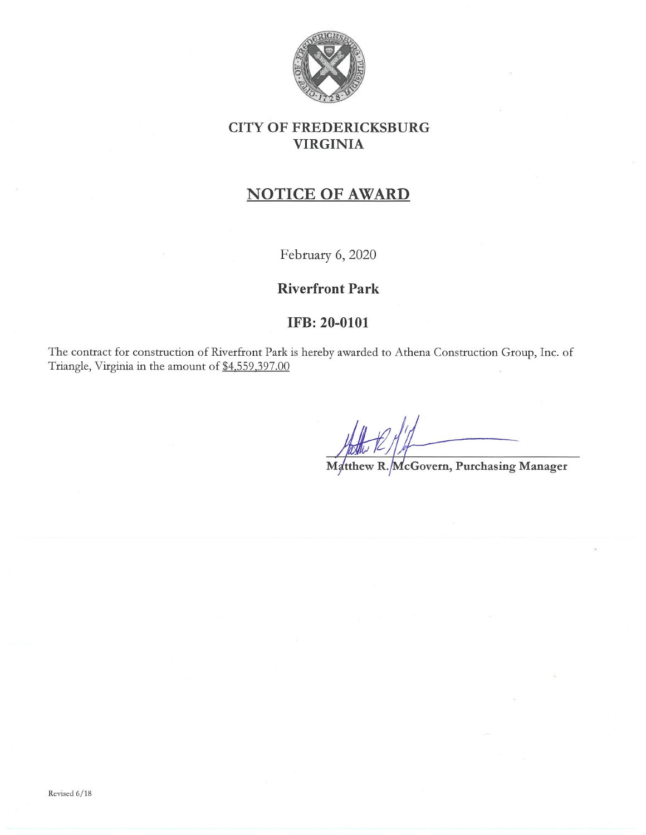

## CITY OF FREDERICKSBURG VIRGINIA

## NOTICE OF AWARD

February 6, 2020

## Riverfront Park

## IFB: 20-0101

The contract for construction of Riverfront Park is hereby awarded to Athena Construction Group, Inc. of Triangle, Virginia in the amount of \$4.559.397.OO

Matthew R. McGovern, Purchasing Manager